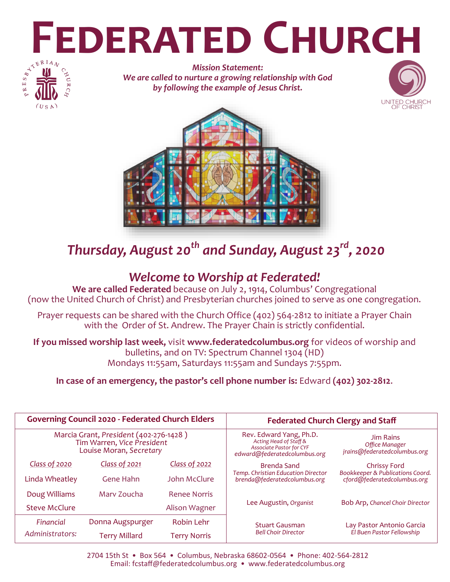# **FEDERATED CHURCH**



*Mission Statement: We are called to nurture a growing relationship with God by following the example of Jesus Christ.*





# *Thursday, August 20th and Sunday, August 23rd, 2020*

## *Welcome to Worship at Federated!*

**We are called Federated** because on July 2, 1914, Columbus' Congregational (now the United Church of Christ) and Presbyterian churches joined to serve as one congregation.

Prayer requests can be shared with the Church Office (402) 564-2812 to initiate a Prayer Chain with the Order of St. Andrew. The Prayer Chain is strictly confidential.

**If you missed worship last week,** visit **www.federatedcolumbus.org** for videos of worship and bulletins, and on TV: Spectrum Channel 1304 (HD) Mondays 11:55am, Saturdays 11:55am and Sundays 7:55pm.

**In case of an emergency, the pastor's cell phone number is:** Edward **(402) 302-2812**.

| <b>Governing Council 2020 - Federated Church Elders</b>                                         |                      |                     | <b>Federated Church Clergy and Staff</b>                                                                             |                                                                    |
|-------------------------------------------------------------------------------------------------|----------------------|---------------------|----------------------------------------------------------------------------------------------------------------------|--------------------------------------------------------------------|
| Marcia Grant, President (402-276-1428)<br>Tim Warren, Vice President<br>Louise Moran, Secretary |                      |                     | Rev. Edward Yang, Ph.D.<br>Acting Head of Staff &<br><b>Associate Pastor for CYF</b><br>edward@federatedcolumbus.org | <b>Jim Rains</b><br>Office Manager<br>jrains@federatedcolumbus.org |
| <b>Class of 2020</b>                                                                            | Class of 2021        | Class of 2022       | Brenda Sand                                                                                                          | Chrissy Ford                                                       |
| Linda Wheatley                                                                                  | Gene Hahn            | John McClure        | Temp. Christian Education Director<br>brenda@federatedcolumbus.org                                                   | Bookkeeper & Publications Coord.<br>cford@federatedcolumbus.org    |
| Doug Williams                                                                                   | Mary Zoucha          | <b>Renee Norris</b> |                                                                                                                      | Bob Arp, Chancel Choir Director                                    |
| <b>Steve McClure</b>                                                                            |                      | Alison Wagner       | Lee Augustin, Organist                                                                                               |                                                                    |
| Financial                                                                                       | Donna Augspurger     | Robin Lehr          | <b>Stuart Gausman</b>                                                                                                | Lay Pastor Antonio Garcia<br>El Buen Pastor Fellowship             |
| Administrators:                                                                                 | <b>Terry Millard</b> | Terry Norris        | <b>Bell Choir Director</b>                                                                                           |                                                                    |

2704 15th St • Box 564 • Columbus, Nebraska 68602-0564 • Phone: 402-564-2812 Email: fcstaff@federatedcolumbus.org • www.federatedcolumbus.org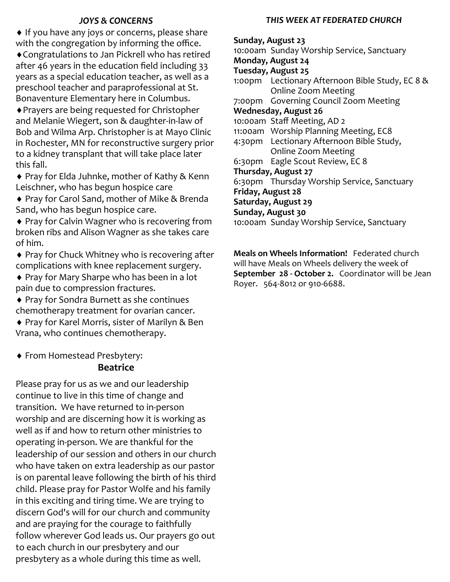### *JOYS & CONCERNS*

♦ If you have any joys or concerns, please share with the congregation by informing the office.

Congratulations to Jan Pickrell who has retired after 46 years in the education field including 33 years as a special education teacher, as well as a preschool teacher and paraprofessional at St. Bonaventure Elementary here in Columbus.

Prayers are being requested for Christopher and Melanie Wiegert, son & daughter-in-law of Bob and Wilma Arp. Christopher is at Mayo Clinic in Rochester, MN for reconstructive surgery prior to a kidney transplant that will take place later this fall.

◆ Pray for Elda Juhnke, mother of Kathy & Kenn Leischner, who has begun hospice care

◆ Pray for Carol Sand, mother of Mike & Brenda Sand, who has begun hospice care.

◆ Pray for Calvin Wagner who is recovering from broken ribs and Alison Wagner as she takes care of him.

◆ Pray for Chuck Whitney who is recovering after complications with knee replacement surgery.

◆ Pray for Mary Sharpe who has been in a lot pain due to compression fractures.

 Pray for Sondra Burnett as she continues chemotherapy treatment for ovarian cancer.

◆ Pray for Karel Morris, sister of Marilyn & Ben Vrana, who continues chemotherapy.

From Homestead Presbytery:

### **Beatrice**

Please pray for us as we and our leadership continue to live in this time of change and transition. We have returned to in-person worship and are discerning how it is working as well as if and how to return other ministries to operating in-person. We are thankful for the leadership of our session and others in our church who have taken on extra leadership as our pastor is on parental leave following the birth of his third child. Please pray for Pastor Wolfe and his family in this exciting and tiring time. We are trying to discern God's will for our church and community and are praying for the courage to faithfully follow wherever God leads us. Our prayers go out to each church in our presbytery and our presbytery as a whole during this time as well.

### *THIS WEEK AT FEDERATED CHURCH*

**Sunday, August 23** 10:00am Sunday Worship Service, Sanctuary **Monday, August 24 Tuesday, August 25** 1:00pm Lectionary Afternoon Bible Study, EC 8 & Online Zoom Meeting 7:00pm Governing Council Zoom Meeting **Wednesday, August 26** 10:00am Staff Meeting, AD 2 11:00am Worship Planning Meeting, EC8 4:30pm Lectionary Afternoon Bible Study, Online Zoom Meeting 6:30pm Eagle Scout Review, EC 8 **Thursday, August 27** 6:30pm Thursday Worship Service, Sanctuary **Friday, August 28 Saturday, August 29 Sunday, August 30** 10:00am Sunday Worship Service, Sanctuary

**Meals on Wheels Information!** Federated church will have Meals on Wheels delivery the week of **September 28 - October 2.** Coordinator will be Jean Royer. 564-8012 or 910-6688.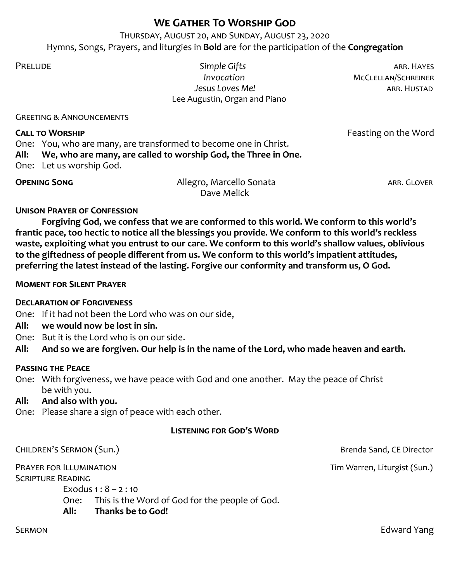### **We Gather To Worship God**

Thursday, August 20, and Sunday, August 23, 2020 Hymns, Songs, Prayers, and liturgies in **Bold** are for the participation of the **Congregation**

Prelude *Simple Gifts* arr. Hayes **Invocation** MCCLELLAN/SCHREINER  *Jesus Loves Me!* arr. Hustad Lee Augustin, Organ and Piano

Greeting & Announcements

### **CALL TO WORSHIP CALL TO WORSHIP CALL TO WORSHIP**

One: You, who are many, are transformed to become one in Christ. **All: We, who are many, are called to worship God, the Three in One.**

One: Let us worship God.

| <b>OPENING SONG</b> | Allegro, Marcello Sonata | ARR. GLOVER |
|---------------------|--------------------------|-------------|
|                     | Dave Melick              |             |

### **Unison Prayer of Confession**

**Forgiving God, we confess that we are conformed to this world. We conform to this world's frantic pace, too hectic to notice all the blessings you provide. We conform to this world's reckless waste, exploiting what you entrust to our care. We conform to this world's shallow values, oblivious to the giftedness of people different from us. We conform to this world's impatient attitudes, preferring the latest instead of the lasting. Forgive our conformity and transform us, O God.**

### **Moment for Silent Prayer**

### **Declaration of Forgiveness**

One: If it had not been the Lord who was on our side,

- **All: we would now be lost in sin.**
- One: But it is the Lord who is on our side.

**All: And so we are forgiven. Our help is in the name of the Lord, who made heaven and earth.**

### **Passing the Peace**

One: With forgiveness, we have peace with God and one another. May the peace of Christ be with you.

### **All: And also with you.**

One: Please share a sign of peace with each other.

### **Listening for God's Word**

CHILDREN'S SERMON (Sun.) CHILDREN'S SERMON (Sun.) Prayer for Illumination Tim Warren, Liturgist (Sun.) Scripture Reading Exodus  $1 : 8 - 2 : 10$ One: This is the Word of God for the people of God. **All: Thanks be to God!**

SERMON **Edward Yang**